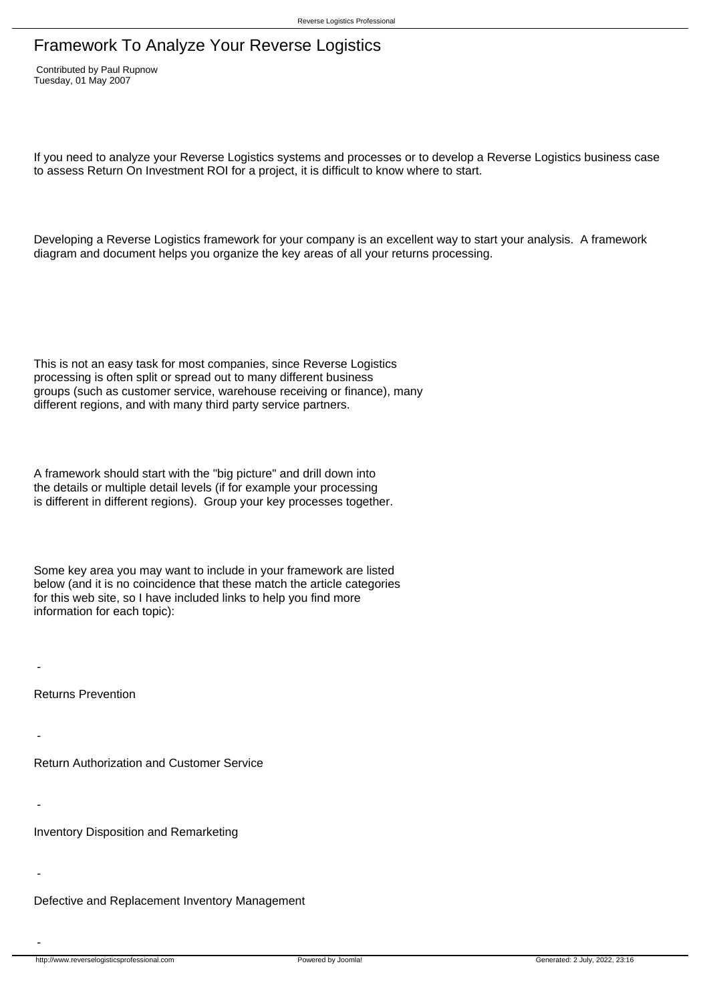## Framework To Analyze Your Reverse Logistics

 Contributed by Paul Rupnow Tuesday, 01 May 2007

If you need to analyze your Reverse Logistics systems and processes or to develop a Reverse Logistics business case to assess Return On Investment ROI for a project, it is difficult to know where to start.

Developing a Reverse Logistics framework for your company is an excellent way to start your analysis. A framework diagram and document helps you organize the key areas of all your returns processing.

This is not an easy task for most companies, since Reverse Logistics processing is often split or spread out to many different business groups (such as customer service, warehouse receiving or finance), many different regions, and with many third party service partners.

A framework should start with the "big picture" and drill down into the details or multiple detail levels (if for example your processing is different in different regions). Group your key processes together.

Some key area you may want to include in your framework are listed below (and it is no coincidence that these match the article categories for this web site, so I have included links to help you find more information for each topic):

 Returns Prevention

-

-

-

-

-

 Return Authorization and Customer Service

 Inventory Disposition and Remarketing

 Defective and Replacement Inventory Management